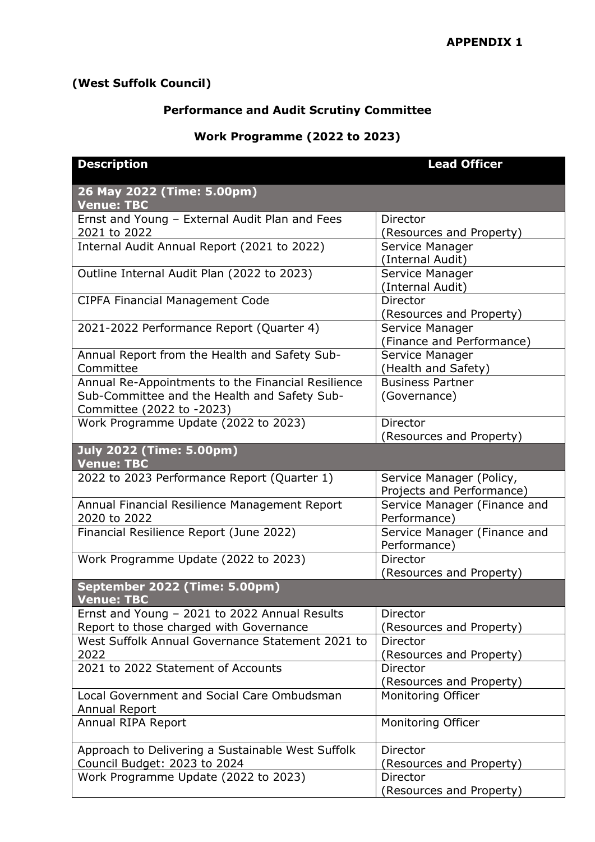## **(West Suffolk Council)**

## **Performance and Audit Scrutiny Committee**

## **Work Programme (2022 to 2023)**

| <b>Description</b>                                 | <b>Lead Officer</b>          |
|----------------------------------------------------|------------------------------|
| 26 May 2022 (Time: 5.00pm)<br><b>Venue: TBC</b>    |                              |
| Ernst and Young - External Audit Plan and Fees     | <b>Director</b>              |
| 2021 to 2022                                       | (Resources and Property)     |
| Internal Audit Annual Report (2021 to 2022)        | Service Manager              |
|                                                    | (Internal Audit)             |
| Outline Internal Audit Plan (2022 to 2023)         | Service Manager              |
|                                                    | (Internal Audit)             |
| <b>CIPFA Financial Management Code</b>             | Director                     |
|                                                    | (Resources and Property)     |
| 2021-2022 Performance Report (Quarter 4)           | Service Manager              |
|                                                    | (Finance and Performance)    |
| Annual Report from the Health and Safety Sub-      | Service Manager              |
| Committee                                          | (Health and Safety)          |
| Annual Re-Appointments to the Financial Resilience | <b>Business Partner</b>      |
| Sub-Committee and the Health and Safety Sub-       | (Governance)                 |
| Committee (2022 to -2023)                          |                              |
| Work Programme Update (2022 to 2023)               | Director                     |
|                                                    | (Resources and Property)     |
| <b>July 2022 (Time: 5.00pm)</b>                    |                              |
| <b>Venue: TBC</b>                                  |                              |
| 2022 to 2023 Performance Report (Quarter 1)        | Service Manager (Policy,     |
|                                                    | Projects and Performance)    |
| Annual Financial Resilience Management Report      | Service Manager (Finance and |
| 2020 to 2022                                       | Performance)                 |
| Financial Resilience Report (June 2022)            | Service Manager (Finance and |
|                                                    | Performance)                 |
| Work Programme Update (2022 to 2023)               | Director                     |
|                                                    | (Resources and Property)     |
| September 2022 (Time: 5.00pm)                      |                              |
| <b>Venue: TBC</b>                                  |                              |
| Ernst and Young - 2021 to 2022 Annual Results      | Director                     |
| Report to those charged with Governance            | (Resources and Property)     |
| West Suffolk Annual Governance Statement 2021 to   | Director                     |
| 2022                                               | (Resources and Property)     |
| 2021 to 2022 Statement of Accounts                 | Director                     |
|                                                    | (Resources and Property)     |
| Local Government and Social Care Ombudsman         | Monitoring Officer           |
| Annual Report                                      |                              |
| Annual RIPA Report                                 | Monitoring Officer           |
|                                                    |                              |
| Approach to Delivering a Sustainable West Suffolk  | Director                     |
| Council Budget: 2023 to 2024                       | (Resources and Property)     |
| Work Programme Update (2022 to 2023)               | Director                     |
|                                                    | (Resources and Property)     |